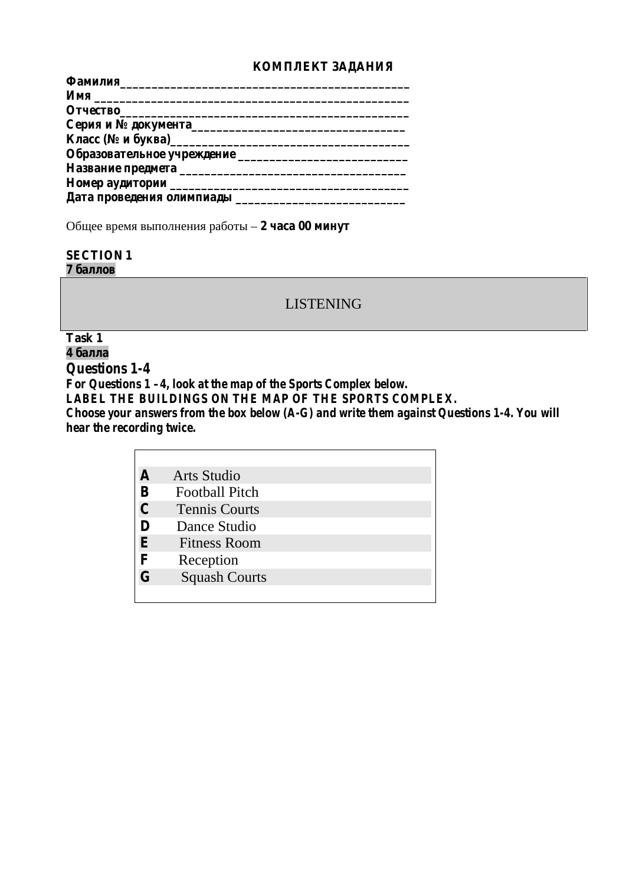

## **SECTION 1**

**7 баллов**

LISTENING

## **Task 1**

**4 балл**

*Questions 1-4*

*For Questions 1 –4, look at the map of the Sports Complex below. LABEL THE BUILDINGS ON THE MAP OF THE SPORTS COMPLEX. Choose your answers from the box below (A-G) and write them against Questions 1-4. You will hear the recording twice.*

| A           | <b>Arts Studio</b>    |
|-------------|-----------------------|
| B           | <b>Football Pitch</b> |
| $\mathbf C$ | <b>Tennis Courts</b>  |
| D           | Dance Studio          |
| E           | <b>Fitness Room</b>   |
| F           | Reception             |
| G           | <b>Squash Courts</b>  |
|             |                       |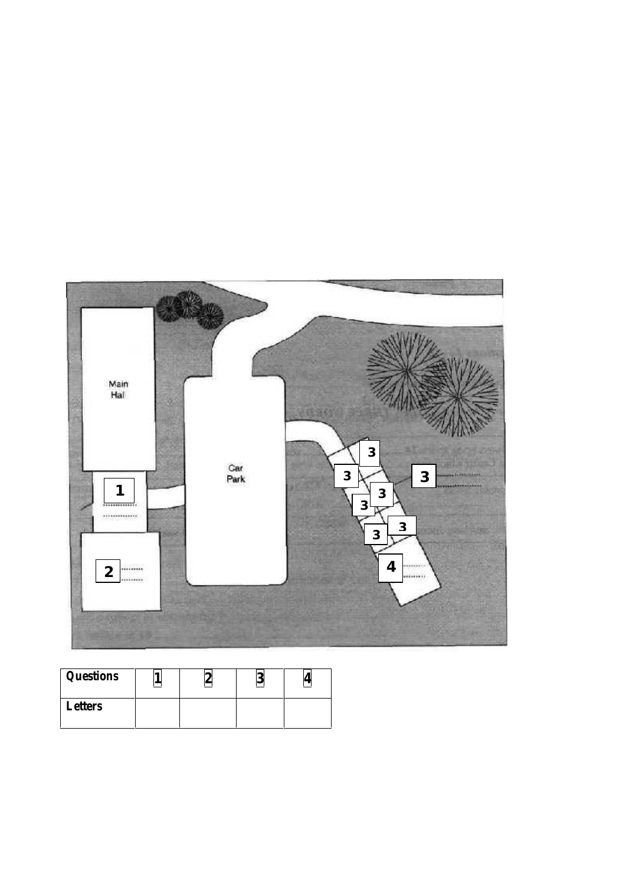

| <i><b>Questions</b></i> |  |  |
|-------------------------|--|--|
| <b>Letters</b>          |  |  |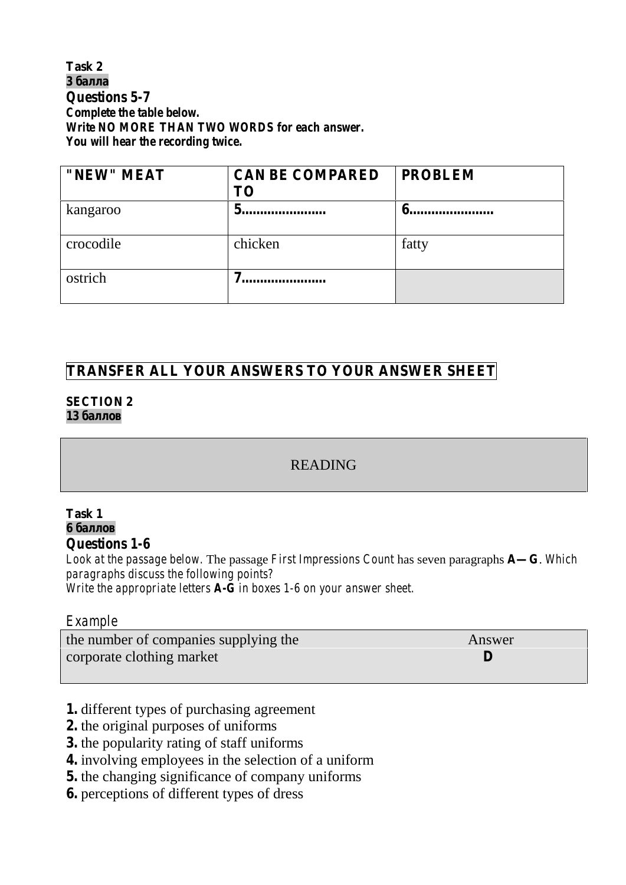**3 балл** *Questions 5-7 Complete the table below. Write NO MORE THAN TWO WORDS for each answer. You will hear the recording twice.*

| "NEW" MEAT | <b>CAN BE COMPARED</b><br><b>TO</b> | <b>PROBLEM</b> |
|------------|-------------------------------------|----------------|
| kangaroo   |                                     |                |
| crocodile  | chicken                             | fatty          |
| ostrich    | -                                   |                |

# **TRANSFER ALL YOUR ANSWERS TO YOUR ANSWER SHEET**

## **SECTION 2 13**

**Task 2**

# READING

## **Task 1**

**6 баллов**

# *Questions 1-6*

*Look at the passage below.* The passage *First Impressions Count* has seven paragraphs **A—G**. *Which paragraphs discuss the following points? Write the appropriate letters A-G in boxes 1-6 on your answer sheet.*

# *Example*

the number of companies supplying the Answer corporate clothing market **D** 

- **1.** different types of purchasing agreement
- **2.** the original purposes of uniforms
- **3.** the popularity rating of staff uniforms
- **4.** involving employees in the selection of a uniform
- **5.** the changing significance of company uniforms
- **6.** perceptions of different types of dress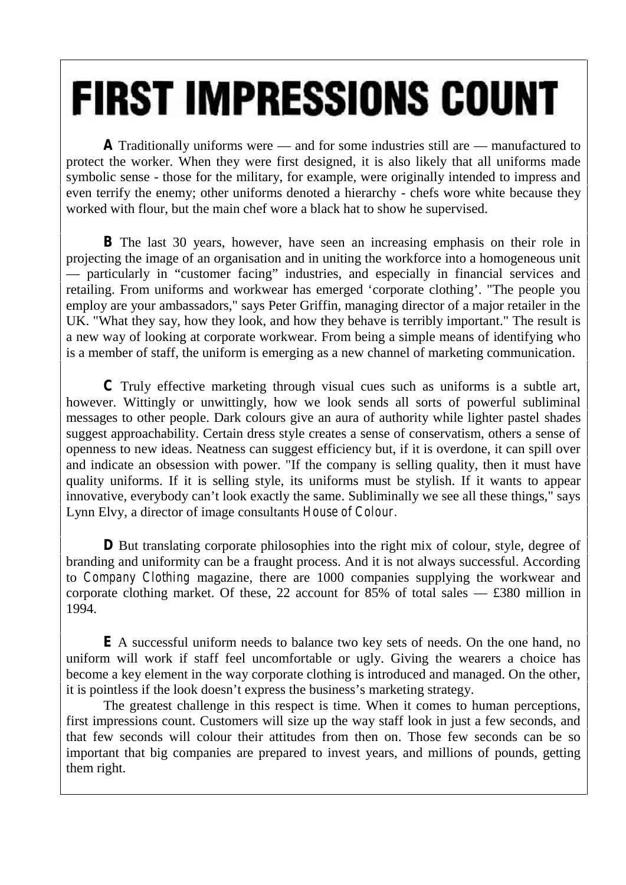# **FIRST IMPRESSIONS COUNT**

**A** Traditionally uniforms were — and for some industries still are — manufactured to protect the worker. When they were first designed, it is also likely that all uniforms made symbolic sense - those for the military, for example, were originally intended to impress and even terrify the enemy; other uniforms denoted a hierarchy - chefs wore white because they worked with flour, but the main chef wore a black hat to show he supervised.

**B** The last 30 years, however, have seen an increasing emphasis on their role in projecting the image of an organisation and in uniting the workforce into a homogeneous unit — particularly in "customer facing" industries, and especially in financial services and retailing. From uniforms and workwear has emerged 'corporate clothing'. "The people you employ are your ambassadors," says Peter Griffin, managing director of a major retailer in the UK. "What they say, how they look, and how they behave is terribly important." The result is a new way of looking at corporate workwear. From being a simple means of identifying who is a member of staff, the uniform is emerging as a new channel of marketing communication.

**C** Truly effective marketing through visual cues such as uniforms is a subtle art, however. Wittingly or unwittingly, how we look sends all sorts of powerful subliminal messages to other people. Dark colours give an aura of authority while lighter pastel shades suggest approachability. Certain dress style creates a sense of conservatism, others a sense of openness to new ideas. Neatness can suggest efficiency but, if it is overdone, it can spill over and indicate an obsession with power. "If the company is selling quality, then it must have quality uniforms. If it is selling style, its uniforms must be stylish. If it wants to appear innovative, everybody can't look exactly the same. Subliminally we see all these things," says Lynn Elvy, a director of image consultants *House of Colour.*

**D** But translating corporate philosophies into the right mix of colour, style, degree of branding and uniformity can be a fraught process. And it is not always successful. According to *Company Clothing* magazine, there are 1000 companies supplying the workwear and corporate clothing market. Of these, 22 account for 85% of total sales  $-$  £380 million in 1994.

**E** A successful uniform needs to balance two key sets of needs. On the one hand, no uniform will work if staff feel uncomfortable or ugly. Giving the wearers a choice has become a key element in the way corporate clothing is introduced and managed. On the other, it is pointless if the look doesn't express the business's marketing strategy.

The greatest challenge in this respect is time. When it comes to human perceptions, first impressions count. Customers will size up the way staff look in just a few seconds, and that few seconds will colour their attitudes from then on. Those few seconds can be so important that big companies are prepared to invest years, and millions of pounds, getting them right.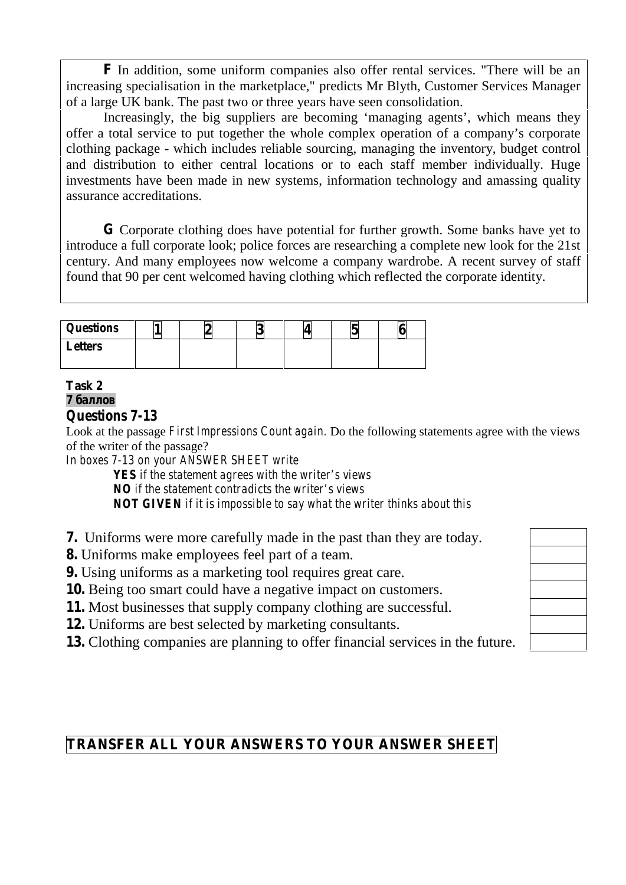**F** In addition, some uniform companies also offer rental services. "There will be an increasing specialisation in the marketplace," predicts Mr Blyth, Customer Services Manager of a large UK bank. The past two or three years have seen consolidation.

Increasingly, the big suppliers are becoming 'managing agents', which means they offer a total service to put together the whole complex operation of a company's corporate clothing package - which includes reliable sourcing, managing the inventory, budget control and distribution to either central locations or to each staff member individually. Huge investments have been made in new systems, information technology and amassing quality assurance accreditations.

**G** Corporate clothing does have potential for further growth. Some banks have yet to introduce a full corporate look; police forces are researching a complete new look for the 21st century. And many employees now welcome a company wardrobe. A recent survey of staff found that 90 per cent welcomed having clothing which reflected the corporate identity.

| <i>Questions</i> |  |  |  |
|------------------|--|--|--|
| <b>Letters</b>   |  |  |  |
|                  |  |  |  |

# **Task 2**

### **7 баллов** *Questions 7-13*

Look at the passage *First Impressions Count again.* Do the following statements agree with the views of the writer of the passage?

*In boxes 7-13 on your ANSWER SHEET write*

*YES if the statement agrees with the writer's views NO if the statement contradicts the writer's views NOT GIVEN if it is impossible to say what the writer thinks about this*

**7.** Uniforms were more carefully made in the past than they are today.

**8.** Uniforms make employees feel part of a team.

**9.** Using uniforms as a marketing tool requires great care.

**10.** Being too smart could have a negative impact on customers.

**11.** Most businesses that supply company clothing are successful.

**12.** Uniforms are best selected by marketing consultants.

**13.** Clothing companies are planning to offer financial services in the future.

# **TRANSFER ALL YOUR ANSWERS TO YOUR ANSWER SHEET**

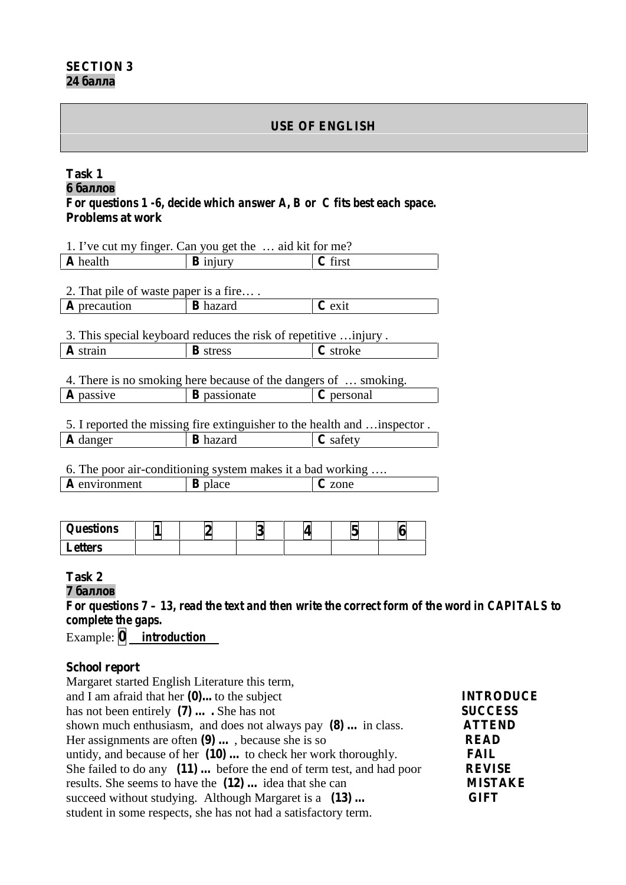## **USE OF ENGLISH**

## **Task 1**

**6 баллов**

## *For questions 1 -6, decide which answer A, B or C fits best each space.* **Problems at work**

|                                       | 1. I've cut my finger. Can you get the  aid kit for me?                   |                   |
|---------------------------------------|---------------------------------------------------------------------------|-------------------|
| A health                              | <b>B</b> injury                                                           | C first           |
|                                       |                                                                           |                   |
| 2. That pile of waste paper is a fire |                                                                           |                   |
| A precaution                          | <b>B</b> hazard                                                           | $C$ exit          |
|                                       |                                                                           |                   |
|                                       | 3. This special keyboard reduces the risk of repetitive  injury.          |                   |
| <b>A</b> strain                       | <b>B</b> stress                                                           | <b>C</b> stroke   |
|                                       |                                                                           |                   |
|                                       | 4. There is no smoking here because of the dangers of  smoking.           |                   |
| A passive                             | <b>B</b> passionate                                                       | <b>C</b> personal |
|                                       |                                                                           |                   |
|                                       | 5. I reported the missing fire extinguisher to the health and  inspector. |                   |
| <b>A</b> danger                       | <b>B</b> hazard                                                           | $C$ safety        |
|                                       |                                                                           |                   |

6. The poor air-conditioning system makes it a bad working …. **A** environment **B** place **C** zone

| <i>Questions</i> |  | Λ |  |
|------------------|--|---|--|
| <b>Letters</b>   |  |   |  |

## **Task 2**

**7 баллов**

*For questions 7 – 13, read the text and then write the correct form of the word in CAPITALS to complete the gaps.*

Example:  $\overline{0}$  *\_\_introduction* 

## **School report**

Margaret started English Literature this term, and I am afraid that her **(0)...** to the subject **INTRODUCE** has not been entirely (7)  $\dots$  She has not **SUCCESS** shown much enthusiasm, and does not always pay **(8) …** in class. **ATTEND** Her assignments are often **(9) …** , because she is so **READ** untidy, and because of her **(10) …** to check her work thoroughly. **FAIL** She failed to do any **(11) …** before the end of term test, and had poor **REVISE** results. She seems to have the **(12) …** idea that she can **MISTAKE** succeed without studying. Although Margaret is a **(13) … GIFT** student in some respects, she has not had a satisfactory term.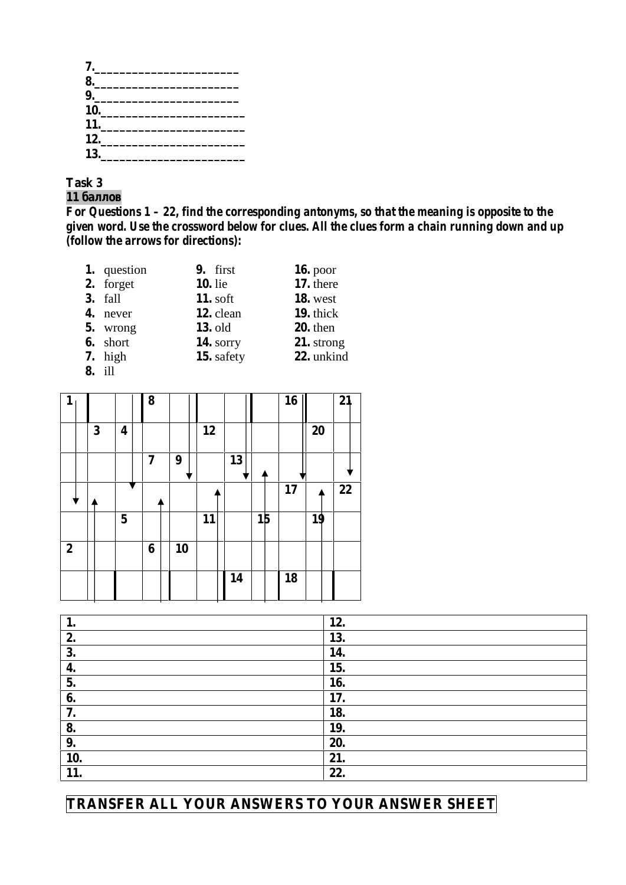| 7. $\qquad \qquad$  |  |
|---------------------|--|
| 8.                  |  |
| 9.                  |  |
| 10.                 |  |
| 11.                 |  |
| 12.                 |  |
| 13. $\qquad \qquad$ |  |

## **Task 3**

#### **11**

*For Questions 1 – 22, find the corresponding antonyms, so that the meaning is opposite to the given word. Use the crossword below for clues. All the clues form a chain running down and up (follow the arrows for directions):*

- **1.** question **2.** forget **3.** fall **4.** never **5.** wrong **6.** short **7.** high **9.** first **10.** lie **11.** soft **12.** clean **13.** old **14.** sorry **15.** safety **16.** poor **17.** there **18.** west **19.** thick **20.** then **21.** strong **22.** unkind
- **8.** ill

| $\mathbf{1}$   |   |                         | 8 |    |    |    |    | $16 \parallel$ |    | 21 |
|----------------|---|-------------------------|---|----|----|----|----|----------------|----|----|
|                | 3 | $\overline{\mathbf{4}}$ |   |    | 12 |    |    |                | 20 |    |
|                |   |                         | 7 | 9  |    | 13 |    |                |    |    |
|                |   |                         |   |    |    |    |    | 17             |    | 22 |
|                |   | 5                       |   |    | 11 |    | 15 |                | 19 |    |
| $\overline{2}$ |   |                         | 6 | 10 |    |    |    |                |    |    |
|                |   |                         |   |    |    | 14 |    | 18             |    |    |
|                |   |                         |   |    |    |    |    |                |    |    |

| ı.  | 12. |
|-----|-----|
| 2.  | 13. |
| 3.  | 14. |
| 4.  | 15. |
| 5.  | 16. |
| 6.  | 17. |
| 7.  | 18. |
| 8.  | 19. |
| 9.  | 20. |
| 10. | 21. |
| 11  | 22. |

# **TRANSFER ALL YOUR ANSWERS TO YOUR ANSWER SHEET**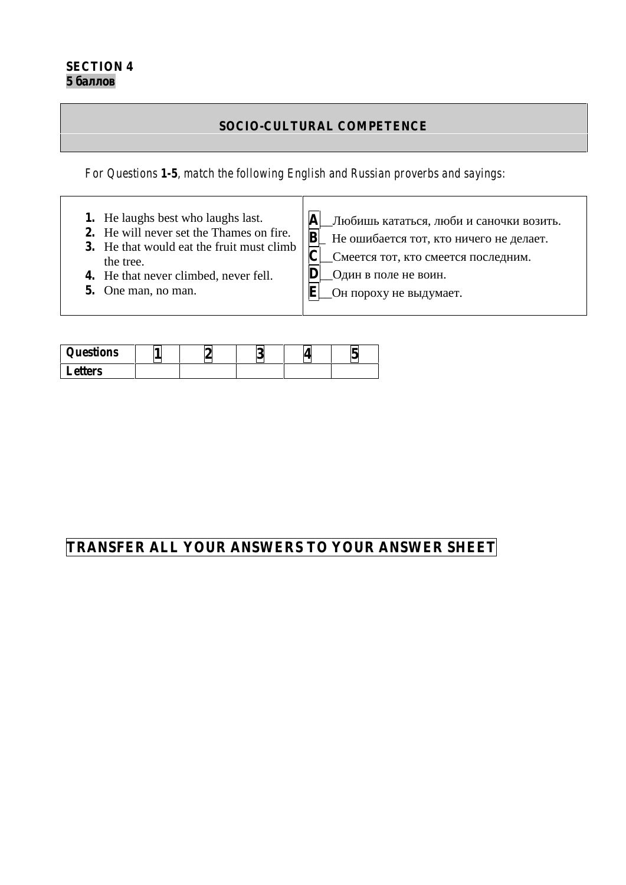## **SOCIO-CULTURAL COMPETENCE**

*For Questions 1-5, match the following English and Russian proverbs and sayings:*

| 1. He laughs best who laughs last.<br>2. He will never set the Thames on fire.<br>3. He that would eat the fruit must climb<br>the tree.<br><b>4.</b> He that never climbed, never fell.<br>One man, no man. |  |
|--------------------------------------------------------------------------------------------------------------------------------------------------------------------------------------------------------------|--|
|--------------------------------------------------------------------------------------------------------------------------------------------------------------------------------------------------------------|--|

| <i><b>Questions</b></i> |  | ► |  |
|-------------------------|--|---|--|
| <b>Letters</b>          |  |   |  |

# **TRANSFER ALL YOUR ANSWERS TO YOUR ANSWER SHEET**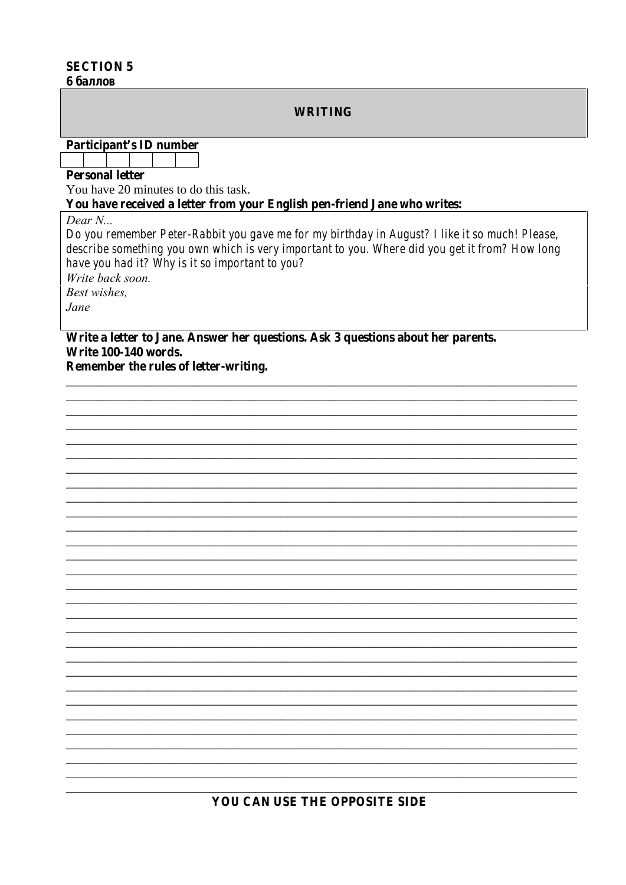6

#### **WRITING**

Participant's ID number

**Personal letter** 

You have 20 minutes to do this task.

You have received a letter from your English pen-friend Jane who writes:

Dear  $N$ ...

Do you remember Peter-Rabbit you gave me for my birthday in August? I like it so much! Please, describe something you own which is very important to you. Where did you get it from? How long have you had it? Why is it so important to you? Write back soon. **Best wishes.** Jane

Write a letter to Jane. Answer her questions. Ask 3 questions about her parents. Write 100-140 words.

Remember the rules of letter-writing.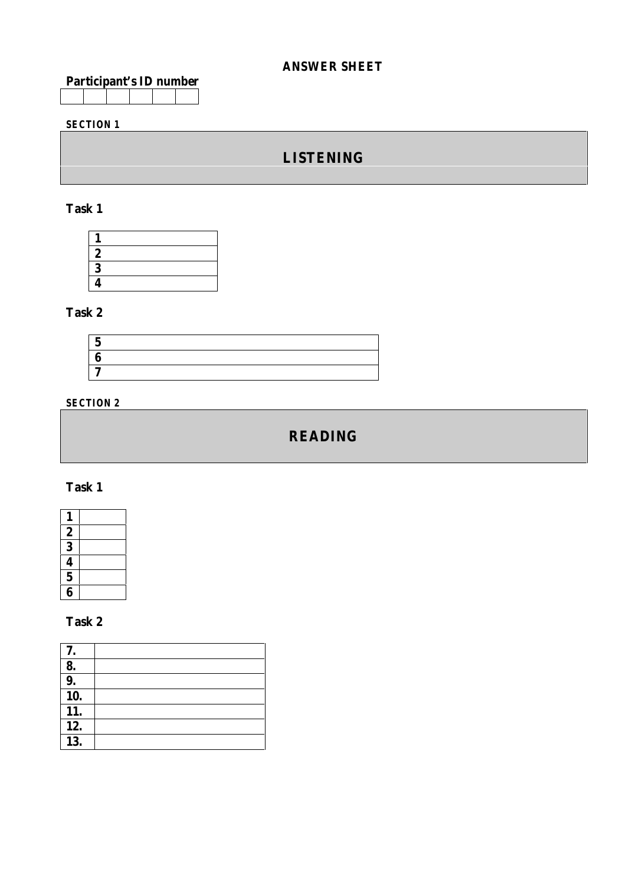## **ANSWER SHEET**

| Participant's ID number |  |  |  |  |  |  |  |  |
|-------------------------|--|--|--|--|--|--|--|--|
|                         |  |  |  |  |  |  |  |  |

## *SECTION 1*

# **LISTENING**

## **Task 1**

| , |  |
|---|--|
|   |  |

## **Task 2**

## *SECTION 2*

# **READING**

## **Task 1**

| 1              |  |
|----------------|--|
| $\overline{2}$ |  |
| 3              |  |
| 4              |  |
| 5              |  |
| 6              |  |

## **Task 2**

| 7.                |  |
|-------------------|--|
| 8.                |  |
| 9.                |  |
| $\overline{10}$ . |  |
| 11.               |  |
| 12.               |  |
| $1\overline{3}$ . |  |